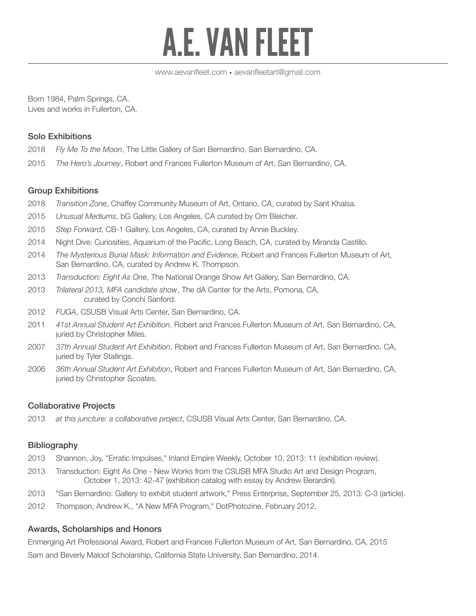# A.E. VAN FLEET

Born 1984, Palm Springs, CA. Lives and works in Fullerton, CA.

## Solo Exhibitions

- 2018 *Fly Me To the Moon*, The Little Gallery of San Bernardino, San Bernardino, CA.
- 2015 *The Hero's Journey*, Robert and Frances Fullerton Museum of Art, San Bernardino, CA.

## Group Exhibitions

- 2018 *Transition Zone*, Chaffey Community Museum of Art, Ontario, CA, curated by Sant Khalsa.
- 2015 *Unusual Mediums*, bG Gallery, Los Angeles, CA curated by Om Bleicher.
- 2015 *Step Forward*, CB-1 Gallery, Los Angeles, CA, curated by Annie Buckley.
- 2014 Night Dive: Curiosities, Aquarium of the Pacific, Long Beach, CA, curated by Miranda Castillo.
- 2014 *The Mysterious Burial Mask: Information and Evidence*, Robert and Frances Fullerton Museum of Art, San Bernardino, CA, curated by Andrew K. Thompson.
- 2013 *Transduction: Eight As One*, The National Orange Show Art Gallery, San Bernardino, CA.
- 2013 *Trilateral 2013, MFA candidate show*, The dA Center for the Arts, Pomona, CA, curated by Conchi Sanford.
- 2012 *FUGA*, CSUSB Visual Arts Center, San Bernardino, CA.
- 2011 *41st Annual Student Art Exhibition*, Robert and Frances Fullerton Museum of Art, San Bernardino, CA, juried by Christopher Miles.
- 2007 *37th Annual Student Art Exhibition*, Robert and Frances Fullerton Museum of Art, San Bernardino, CA, juried by Tyler Stallings.
- 2006 *36th Annual Student Art Exhibition*, Robert and Frances Fullerton Museum of Art, San Bernardino, CA, juried by Christopher Scoates.

# Collaborative Projects

2013 *at this juncture: a collaborative project*, CSUSB Visual Arts Center, San Bernardino, CA.

## **Bibliography**

- 2013 Shannon, Joy, "Erratic Impulses," Inland Empire Weekly, October 10, 2013: 11 (exhibition review).
- 2013 Transduction: Eight As One New Works from the CSUSB MFA Studio Art and Design Program, October 1, 2013: 42-47 (exhibition catalog with essay by Andrew Berardini).
- 2013 "San Bernardino: Gallery to exhibit student artwork," Press Enterprise, September 25, 2013: C-3 (article).
- 2012 Thompson, Andrew K., "A New MFA Program," DotPhotozine, February 2012.

## Awards, Scholarships and Honors

Enmerging Art Professional Award, Robert and Frances Fullerton Museum of Art, San Bernardino, CA, 2015 Sam and Beverly Maloof Scholarship, California State University, San Bernardino, 2014.